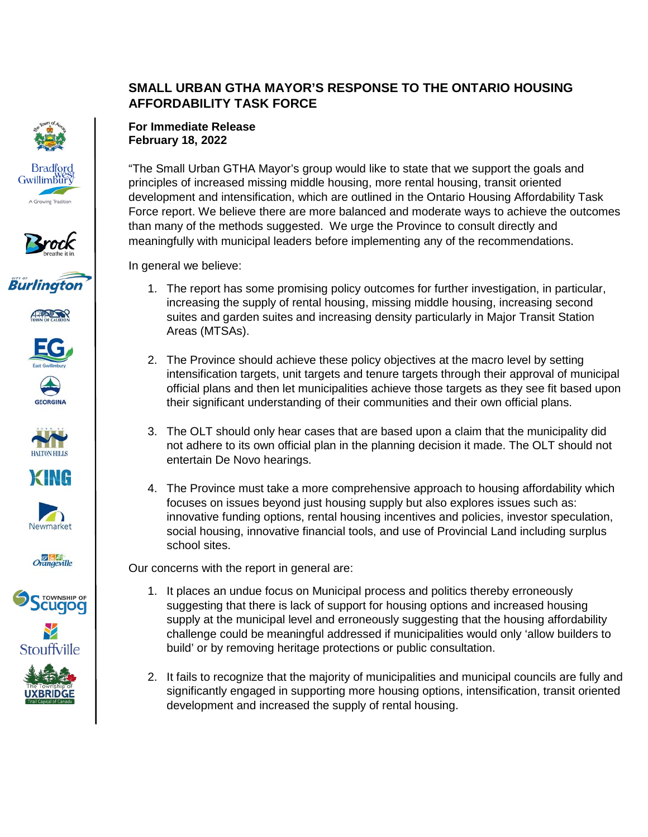## **SMALL URBAN GTHA MAYOR'S RESPONSE TO THE ONTARIO HOUSING AFFORDABILITY TASK FORCE**



















## **For Immediate Release February 18, 2022**

"The Small Urban GTHA Mayor's group would like to state that we support the goals and principles of increased missing middle housing, more rental housing, transit oriented development and intensification, which are outlined in the Ontario Housing Affordability Task Force report. We believe there are more balanced and moderate ways to achieve the outcomes than many of the methods suggested. We urge the Province to consult directly and meaningfully with municipal leaders before implementing any of the recommendations.

In general we believe:

- 1. The report has some promising policy outcomes for further investigation, in particular, increasing the supply of rental housing, missing middle housing, increasing second suites and garden suites and increasing density particularly in Major Transit Station Areas (MTSAs).
- 2. The Province should achieve these policy objectives at the macro level by setting intensification targets, unit targets and tenure targets through their approval of municipal official plans and then let municipalities achieve those targets as they see fit based upon their significant understanding of their communities and their own official plans.
- 3. The OLT should only hear cases that are based upon a claim that the municipality did not adhere to its own official plan in the planning decision it made. The OLT should not entertain De Novo hearings.
- 4. The Province must take a more comprehensive approach to housing affordability which focuses on issues beyond just housing supply but also explores issues such as: innovative funding options, rental housing incentives and policies, investor speculation, social housing, innovative financial tools, and use of Provincial Land including surplus school sites.

Our concerns with the report in general are:

- 1. It places an undue focus on Municipal process and politics thereby erroneously suggesting that there is lack of support for housing options and increased housing supply at the municipal level and erroneously suggesting that the housing affordability challenge could be meaningful addressed if municipalities would only 'allow builders to build' or by removing heritage protections or public consultation.
- 2. It fails to recognize that the majority of municipalities and municipal councils are fully and significantly engaged in supporting more housing options, intensification, transit oriented development and increased the supply of rental housing.